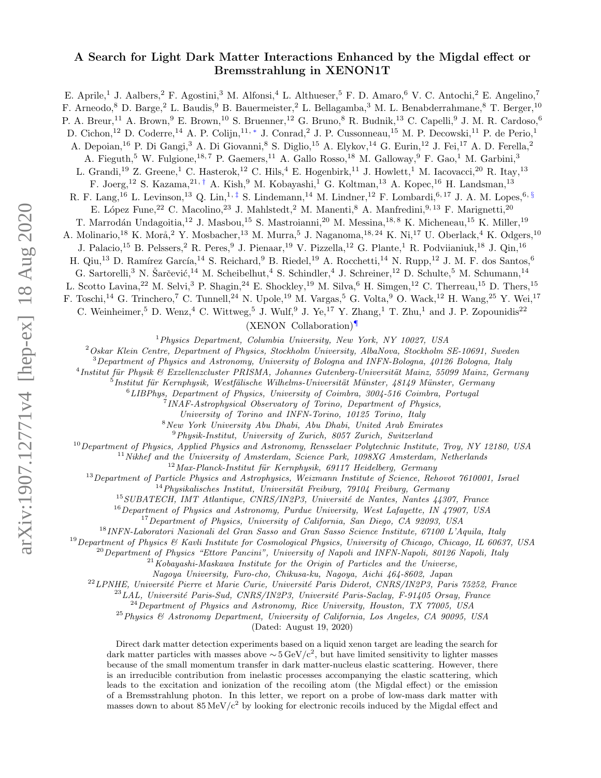## A Search for Light Dark Matter Interactions Enhanced by the Migdal effect or Bremsstrahlung in XENON1T

E. Aprile,<sup>1</sup> J. Aalbers,<sup>2</sup> F. Agostini,<sup>3</sup> M. Alfonsi,<sup>4</sup> L. Althueser,<sup>5</sup> F. D. Amaro,<sup>6</sup> V. C. Antochi,<sup>2</sup> E. Angelino,<sup>7</sup> F. Arneodo,<sup>8</sup> D. Barge,<sup>2</sup> L. Baudis,<sup>9</sup> B. Bauermeister,<sup>2</sup> L. Bellagamba,<sup>3</sup> M. L. Benabderrahmane,<sup>8</sup> T. Berger,<sup>10</sup> P. A. Breur,<sup>11</sup> A. Brown,<sup>9</sup> E. Brown,<sup>10</sup> S. Bruenner,<sup>12</sup> G. Bruno,<sup>8</sup> R. Budnik,<sup>13</sup> C. Capelli,<sup>9</sup> J. M. R. Cardoso,<sup>6</sup> D. Cichon,<sup>12</sup> D. Coderre,<sup>14</sup> A. P. Colijn,<sup>11,\*</sup> J. Conrad,<sup>2</sup> J. P. Cussonneau,<sup>15</sup> M. P. Decowski,<sup>11</sup> P. de Perio,<sup>1</sup> A. Depoian,<sup>16</sup> P. Di Gangi,<sup>3</sup> A. Di Giovanni,<sup>8</sup> S. Diglio,<sup>15</sup> A. Elykov,<sup>14</sup> G. Eurin,<sup>12</sup> J. Fei,<sup>17</sup> A. D. Ferella,<sup>2</sup> A. Fieguth,<sup>5</sup> W. Fulgione,<sup>18,7</sup> P. Gaemers,<sup>11</sup> A. Gallo Rosso,<sup>18</sup> M. Galloway,<sup>9</sup> F. Gao,<sup>1</sup> M. Garbini,<sup>3</sup> L. Grandi,<sup>19</sup> Z. Greene,<sup>1</sup> C. Hasterok,<sup>12</sup> C. Hils,<sup>4</sup> E. Hogenbirk,<sup>11</sup> J. Howlett,<sup>1</sup> M. Iacovacci,<sup>20</sup> R. Itay,<sup>13</sup> F. Joerg,<sup>12</sup> S. Kazama,<sup>21,[†](#page-5-1)</sup> A. Kish,<sup>9</sup> M. Kobayashi,<sup>1</sup> G. Koltman,<sup>13</sup> A. Kopec,<sup>16</sup> H. Landsman,<sup>13</sup> R. F. Lang,<sup>16</sup> L. Levinson,<sup>13</sup> Q. Lin,<sup>1, $\ddagger$ </sup> S. Lindemann,<sup>14</sup> M. Lindner,<sup>12</sup> F. Lombardi,<sup>6,17</sup> J. A. M. Lopes,<sup>6, [§](#page-5-3)</sup> E. López Fune,<sup>22</sup> C. Macolino,<sup>23</sup> J. Mahlstedt,<sup>2</sup> M. Manenti,<sup>8</sup> A. Manfredini,<sup>9, 13</sup> F. Marignetti,<sup>20</sup> T. Marrodán Undagoitia,<sup>12</sup> J. Masbou,<sup>15</sup> S. Mastroianni,<sup>20</sup> M. Messina,<sup>18, 8</sup> K. Micheneau,<sup>15</sup> K. Miller,<sup>19</sup> A. Molinario,<sup>18</sup> K. Morå,<sup>2</sup> Y. Mosbacher,<sup>13</sup> M. Murra,<sup>5</sup> J. Naganoma,<sup>18,24</sup> K. Ni,<sup>17</sup> U. Oberlack,<sup>4</sup> K. Odgers,<sup>10</sup> J. Palacio,<sup>15</sup> B. Pelssers,<sup>2</sup> R. Peres,<sup>9</sup> J. Pienaar,<sup>19</sup> V. Pizzella,<sup>12</sup> G. Plante,<sup>1</sup> R. Podviianiuk,<sup>18</sup> J. Qin,<sup>16</sup> H. Qiu,<sup>13</sup> D. Ramírez García,<sup>14</sup> S. Reichard,<sup>9</sup> B. Riedel,<sup>19</sup> A. Rocchetti,<sup>14</sup> N. Rupp,<sup>12</sup> J. M. F. dos Santos,<sup>6</sup> G. Sartorelli,<sup>3</sup> N. Šarčević, <sup>14</sup> M. Scheibelhut, <sup>4</sup> S. Schindler, <sup>4</sup> J. Schreiner, <sup>12</sup> D. Schulte, <sup>5</sup> M. Schumann, <sup>14</sup> L. Scotto Lavina,<sup>22</sup> M. Selvi,<sup>3</sup> P. Shagin,<sup>24</sup> E. Shockley,<sup>19</sup> M. Silva,<sup>6</sup> H. Simgen,<sup>12</sup> C. Therreau,<sup>15</sup> D. Thers,<sup>15</sup> F. Toschi,<sup>14</sup> G. Trinchero,<sup>7</sup> C. Tunnell,<sup>24</sup> N. Upole,<sup>19</sup> M. Vargas,<sup>5</sup> G. Volta,<sup>9</sup> O. Wack,<sup>12</sup> H. Wang,<sup>25</sup> Y. Wei,<sup>17</sup> C. Weinheimer,<sup>5</sup> D. Wenz,<sup>4</sup> C. Wittweg,<sup>5</sup> J. Wulf,<sup>9</sup> J. Ye,<sup>17</sup> Y. Zhang,<sup>1</sup> T. Zhu,<sup>1</sup> and J. P. Zopounidis<sup>22</sup> (XENON Collaboration)[¶](#page-5-4) <sup>1</sup>Physics Department, Columbia University, New York, NY 10027, USA

 $2$  Oskar Klein Centre, Department of Physics, Stockholm University, AlbaNova, Stockholm SE-10691, Sweden

 $3$ Department of Physics and Astronomy, University of Bologna and INFN-Bologna,  $40126$  Bologna, Italy

<sup>4</sup> Institut für Physik & Exzellenzcluster PRISMA, Johannes Gutenberg-Universität Mainz, 55099 Mainz, Germany

 $^{5}$ Institut für Kernphysik, Westfälische Wilhelms-Universität Münster, 48149 Münster, Germany

 $6$ LIBPhys, Department of Physics, University of Coimbra, 3004-516 Coimbra, Portugal

<sup>7</sup> INAF-Astrophysical Observatory of Torino, Department of Physics,

University of Torino and INFN-Torino, 10125 Torino, Italy

<sup>8</sup>New York University Abu Dhabi, Abu Dhabi, United Arab Emirates

<sup>9</sup>Physik-Institut, University of Zurich, 8057 Zurich, Switzerland

 $^{10}$ Department of Physics, Applied Physics and Astronomy, Rensselaer Polytechnic Institute, Troy, NY 12180, USA

 $11$  Nikhef and the University of Amsterdam, Science Park, 1098XG Amsterdam, Netherlands

 $12$ Max-Planck-Institut für Kernphysik, 69117 Heidelberg, Germany

<sup>13</sup>Department of Particle Physics and Astrophysics, Weizmann Institute of Science, Rehovot 7610001, Israel

 $14$ Physikalisches Institut, Universität Freiburg, 79104 Freiburg, Germany

 $^{15}$ SUBATECH, IMT Atlantique, CNRS/IN2P3, Université de Nantes, Nantes 44307, France

<sup>16</sup>Department of Physics and Astronomy, Purdue University, West Lafayette, IN 47907, USA

<sup>17</sup> Department of Physics, University of California, San Diego, CA 92093, USA

<sup>18</sup>INFN-Laboratori Nazionali del Gran Sasso and Gran Sasso Science Institute, 67100 L'Aquila, Italy

<sup>19</sup>Department of Physics & Kavli Institute for Cosmological Physics, University of Chicago, Chicago, IL 60637, USA

 $^{20}$ Department of Physics "Ettore Pancini", University of Napoli and INFN-Napoli, 80126 Napoli, Italy

 $^{21}$ Kobayashi-Maskawa Institute for the Origin of Particles and the Universe,

Nagoya University, Furo-cho, Chikusa-ku, Nagoya, Aichi 464-8602, Japan

<sup>22</sup> LPNHE, Université Pierre et Marie Curie, Université Paris Diderot, CNRS/IN2P3, Paris 75252, France

 $^{23}$ LAL, Université Paris-Sud, CNRS/IN2P3, Université Paris-Saclay, F-91405 Orsay, France

 $^{24}$ Department of Physics and Astronomy, Rice University, Houston, TX 77005, USA

 $^{25}$ Physics & Astronomy Department, University of California, Los Angeles, CA 90095, USA

(Dated: August 19, 2020)

Direct dark matter detection experiments based on a liquid xenon target are leading the search for dark matter particles with masses above  $\sim 5 \,\text{GeV}/c^2$ , but have limited sensitivity to lighter masses because of the small momentum transfer in dark matter-nucleus elastic scattering. However, there is an irreducible contribution from inelastic processes accompanying the elastic scattering, which leads to the excitation and ionization of the recoiling atom (the Migdal effect) or the emission of a Bremsstrahlung photon. In this letter, we report on a probe of low-mass dark matter with masses down to about  $85 \,\mathrm{MeV}/c^2$  by looking for electronic recoils induced by the Migdal effect and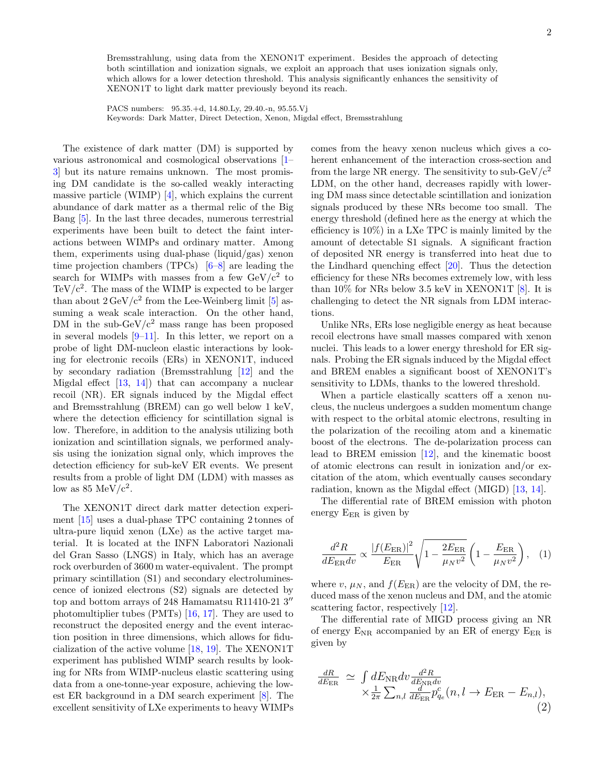Bremsstrahlung, using data from the XENON1T experiment. Besides the approach of detecting both scintillation and ionization signals, we exploit an approach that uses ionization signals only, which allows for a lower detection threshold. This analysis significantly enhances the sensitivity of XENON1T to light dark matter previously beyond its reach.

PACS numbers: 95.35.+d, 14.80.Ly, 29.40.-n, 95.55.Vj Keywords: Dark Matter, Direct Detection, Xenon, Migdal effect, Bremsstrahlung

The existence of dark matter (DM) is supported by various astronomical and cosmological observations [\[1–](#page-5-5) [3\]](#page-6-0) but its nature remains unknown. The most promising DM candidate is the so-called weakly interacting massive particle (WIMP) [\[4\]](#page-6-1), which explains the current abundance of dark matter as a thermal relic of the Big Bang [\[5\]](#page-6-2). In the last three decades, numerous terrestrial experiments have been built to detect the faint interactions between WIMPs and ordinary matter. Among them, experiments using dual-phase (liquid/gas) xenon time projection chambers (TPCs) [\[6](#page-6-3)[–8\]](#page-6-4) are leading the search for WIMPs with masses from a few  $GeV/c^2$  to TeV/ $c^2$ . The mass of the WIMP is expected to be larger than about  $2 \,\mathrm{GeV/c^2}$  from the Lee-Weinberg limit [\[5\]](#page-6-2) assuming a weak scale interaction. On the other hand, DM in the sub-GeV/ $c^2$  mass range has been proposed in several models  $[9-11]$  $[9-11]$ . In this letter, we report on a probe of light DM-nucleon elastic interactions by looking for electronic recoils (ERs) in XENON1T, induced by secondary radiation (Bremsstrahlung [\[12\]](#page-6-7) and the Migdal effect [\[13,](#page-6-8) [14\]](#page-6-9)) that can accompany a nuclear recoil (NR). ER signals induced by the Migdal effect and Bremsstrahlung (BREM) can go well below 1 keV, where the detection efficiency for scintillation signal is low. Therefore, in addition to the analysis utilizing both ionization and scintillation signals, we performed analysis using the ionization signal only, which improves the detection efficiency for sub-keV ER events. We present results from a proble of light DM (LDM) with masses as low as  $85 \text{ MeV}/c^2$ .

The XENON1T direct dark matter detection experiment [\[15\]](#page-6-10) uses a dual-phase TPC containing 2 tonnes of ultra-pure liquid xenon (LXe) as the active target material. It is located at the INFN Laboratori Nazionali del Gran Sasso (LNGS) in Italy, which has an average rock overburden of 3600 m water-equivalent. The prompt primary scintillation (S1) and secondary electroluminescence of ionized electrons (S2) signals are detected by top and bottom arrays of 248 Hamamatsu R11410-21  $3''$ photomultiplier tubes (PMTs) [\[16,](#page-6-11) [17\]](#page-6-12). They are used to reconstruct the deposited energy and the event interaction position in three dimensions, which allows for fiducialization of the active volume [\[18,](#page-6-13) [19\]](#page-6-14). The XENON1T experiment has published WIMP search results by looking for NRs from WIMP-nucleus elastic scattering using data from a one-tonne-year exposure, achieving the lowest ER background in a DM search experiment [\[8\]](#page-6-4). The excellent sensitivity of LXe experiments to heavy WIMPs comes from the heavy xenon nucleus which gives a coherent enhancement of the interaction cross-section and from the large NR energy. The sensitivity to sub-GeV/ $c^2$ LDM, on the other hand, decreases rapidly with lowering DM mass since detectable scintillation and ionization signals produced by these NRs become too small. The energy threshold (defined here as the energy at which the efficiency is 10%) in a LXe TPC is mainly limited by the amount of detectable S1 signals. A significant fraction of deposited NR energy is transferred into heat due to the Lindhard quenching effect [\[20\]](#page-6-15). Thus the detection efficiency for these NRs becomes extremely low, with less than 10% for NRs below 3.5 keV in XENON1T  $[8]$ . It is challenging to detect the NR signals from LDM interactions.

Unlike NRs, ERs lose negligible energy as heat because recoil electrons have small masses compared with xenon nuclei. This leads to a lower energy threshold for ER signals. Probing the ER signals induced by the Migdal effect and BREM enables a significant boost of XENON1T's sensitivity to LDMs, thanks to the lowered threshold.

When a particle elastically scatters off a xenon nucleus, the nucleus undergoes a sudden momentum change with respect to the orbital atomic electrons, resulting in the polarization of the recoiling atom and a kinematic boost of the electrons. The de-polarization process can lead to BREM emission [\[12\]](#page-6-7), and the kinematic boost of atomic electrons can result in ionization and/or excitation of the atom, which eventually causes secondary radiation, known as the Migdal effect (MIGD) [\[13,](#page-6-8) [14\]](#page-6-9).

The differential rate of BREM emission with photon energy  $E_{ER}$  is given by

$$
\frac{d^2 R}{dE_{\text{ER}} dv} \propto \frac{|f(E_{\text{ER}})|^2}{E_{\text{ER}}} \sqrt{1 - \frac{2E_{\text{ER}}}{\mu_N v^2}} \left(1 - \frac{E_{\text{ER}}}{\mu_N v^2}\right), \quad (1)
$$

where v,  $\mu_N$ , and  $f(E_{\rm ER})$  are the velocity of DM, the reduced mass of the xenon nucleus and DM, and the atomic scattering factor, respectively [\[12\]](#page-6-7).

The differential rate of MIGD process giving an NR of energy  $E_{NR}$  accompanied by an ER of energy  $E_{ER}$  is given by

$$
\frac{dR}{dE_{\text{ER}}} \simeq \int dE_{\text{NR}} dv \frac{d^2 R}{dE_{\text{NR}} dv} \times \frac{1}{2\pi} \sum_{n,l} \frac{d}{dE_{\text{ER}}} p_{q_e}^c(n, l \to E_{\text{ER}} - E_{n,l}),
$$
\n(2)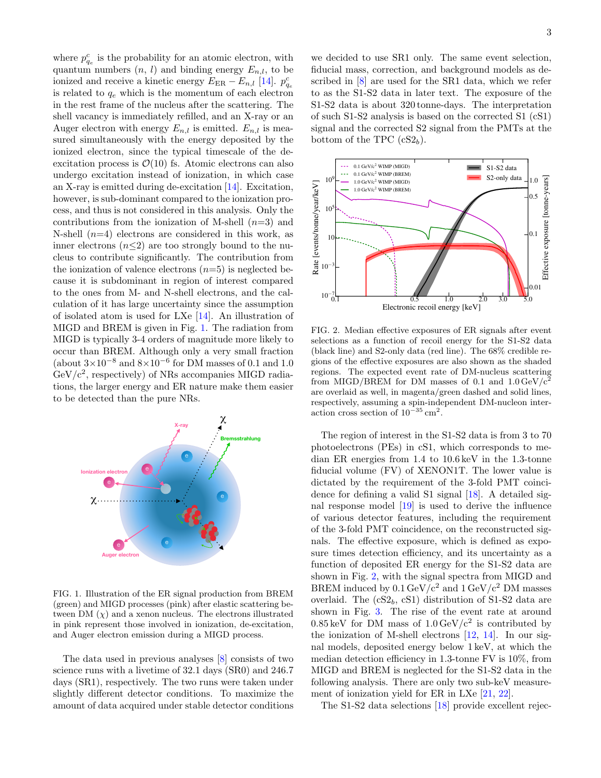where  $p_{q_e}^c$  is the probability for an atomic electron, with quantum numbers  $(n, l)$  and binding energy  $E_{n,l}$ , to be ionized and receive a kinetic energy  $E_{\text{ER}} - E_{n,l}$  [\[14\]](#page-6-9).  $p_{q_e}^c$ is related to  $q_e$  which is the momentum of each electron in the rest frame of the nucleus after the scattering. The shell vacancy is immediately refilled, and an X-ray or an Auger electron with energy  $E_{n,l}$  is emitted.  $E_{n,l}$  is measured simultaneously with the energy deposited by the ionized electron, since the typical timescale of the deexcitation process is  $\mathcal{O}(10)$  fs. Atomic electrons can also undergo excitation instead of ionization, in which case an X-ray is emitted during de-excitation [\[14\]](#page-6-9). Excitation, however, is sub-dominant compared to the ionization process, and thus is not considered in this analysis. Only the contributions from the ionization of M-shell  $(n=3)$  and N-shell  $(n=4)$  electrons are considered in this work, as inner electrons  $(n<2)$  are too strongly bound to the nucleus to contribute significantly. The contribution from the ionization of valence electrons  $(n=5)$  is neglected because it is subdominant in region of interest compared to the ones from M- and N-shell electrons, and the calculation of it has large uncertainty since the assumption of isolated atom is used for LXe [\[14\]](#page-6-9). An illustration of MIGD and BREM is given in Fig. [1.](#page-2-0) The radiation from MIGD is typically 3-4 orders of magnitude more likely to occur than BREM. Although only a very small fraction (about  $3\times10^{-8}$  and  $8\times10^{-6}$  for DM masses of 0.1 and 1.0  $GeV/c^2$ , respectively) of NRs accompanies MIGD radiations, the larger energy and ER nature make them easier to be detected than the pure NRs.



<span id="page-2-0"></span>FIG. 1. Illustration of the ER signal production from BREM (green) and MIGD processes (pink) after elastic scattering between DM  $(\chi)$  and a xenon nucleus. The electrons illustrated in pink represent those involved in ionization, de-excitation, and Auger electron emission during a MIGD process.

The data used in previous analyses [\[8\]](#page-6-4) consists of two science runs with a livetime of 32.1 days (SR0) and 246.7 days (SR1), respectively. The two runs were taken under slightly different detector conditions. To maximize the amount of data acquired under stable detector conditions

we decided to use SR1 only. The same event selection, fiducial mass, correction, and background models as described in [\[8\]](#page-6-4) are used for the SR1 data, which we refer to as the S1-S2 data in later text. The exposure of the S1-S2 data is about 320 tonne-days. The interpretation of such S1-S2 analysis is based on the corrected S1 (cS1) signal and the corrected S2 signal from the PMTs at the bottom of the TPC  $(cS2_b)$ .



<span id="page-2-1"></span>FIG. 2. Median effective exposures of ER signals after event selections as a function of recoil energy for the S1-S2 data (black line) and S2-only data (red line). The 68% credible regions of the effective exposures are also shown as the shaded regions. The expected event rate of DM-nucleus scattering from MIGD/BREM for DM masses of 0.1 and  $1.0 \,\text{GeV}/c^2$ are overlaid as well, in magenta/green dashed and solid lines, respectively, assuming a spin-independent DM-nucleon interaction cross section of  $10^{-35}$  cm<sup>2</sup>.

The region of interest in the S1-S2 data is from 3 to 70 photoelectrons (PEs) in cS1, which corresponds to median ER energies from 1.4 to 10.6 keV in the 1.3-tonne fiducial volume (FV) of XENON1T. The lower value is dictated by the requirement of the 3-fold PMT coincidence for defining a valid S1 signal [\[18\]](#page-6-13). A detailed signal response model [\[19\]](#page-6-14) is used to derive the influence of various detector features, including the requirement of the 3-fold PMT coincidence, on the reconstructed signals. The effective exposure, which is defined as exposure times detection efficiency, and its uncertainty as a function of deposited ER energy for the S1-S2 data are shown in Fig. [2,](#page-2-1) with the signal spectra from MIGD and BREM induced by  $0.1 \,\text{GeV}/c^2$  and  $1 \,\text{GeV}/c^2$  DM masses overlaid. The  $(cS2_b, cS1)$  distribution of S1-S2 data are shown in Fig. [3.](#page-3-0) The rise of the event rate at around  $0.85 \,\text{keV}$  for DM mass of  $1.0 \,\text{GeV}/c^2$  is contributed by the ionization of M-shell electrons [\[12,](#page-6-7) [14\]](#page-6-9). In our signal models, deposited energy below 1 keV, at which the median detection efficiency in 1.3-tonne FV is 10%, from MIGD and BREM is neglected for the S1-S2 data in the following analysis. There are only two sub-keV measurement of ionization yield for ER in LXe [\[21,](#page-6-16) [22\]](#page-6-17).

The S1-S2 data selections [\[18\]](#page-6-13) provide excellent rejec-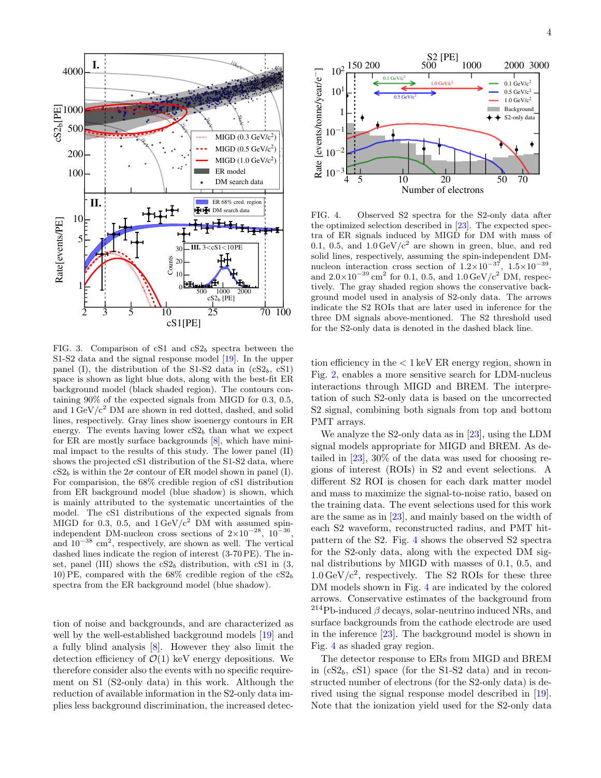

<span id="page-3-0"></span>FIG. 3. Comparison of cS1 and  $cS2<sub>b</sub>$  spectra between the S1-S2 data and the signal response model [\[19\]](#page-6-14). In the upper panel (I), the distribution of the S1-S2 data in  $(cS2_b, cS1)$ space is shown as light blue dots, along with the best-fit ER background model (black shaded region). The contours containing 90% of the expected signals from MIGD for 0.3, 0.5, and  $1 \,\mathrm{GeV/c^2}$  DM are shown in red dotted, dashed, and solid lines, respectively. Gray lines show isoenergy contours in ER energy. The events having lower  $cS2<sub>b</sub>$  than what we expect for ER are mostly surface backgrounds [\[8\]](#page-6-4), which have minimal impact to the results of this study. The lower panel (II) shows the projected cS1 distribution of the S1-S2 data, where  $cS2<sub>b</sub>$  is within the  $2\sigma$  contour of ER model shown in panel (I). For comparision, the 68% credible region of cS1 distribution from ER background model (blue shadow) is shown, which is mainly attributed to the systematic uncertainties of the model. The cS1 distributions of the expected signals from MIGD for 0.3, 0.5, and  $1 \text{ GeV}/c^2$  DM with assumed spinindependent DM-nucleon cross sections of  $2 \times 10^{-28}$ ,  $10^{-36}$ , and  $10^{-38}$  cm<sup>2</sup>, respectively, are shown as well. The vertical dashed lines indicate the region of interest (3-70 PE). The inset, panel (III) shows the  $cS2<sub>b</sub>$  distribution, with cS1 in (3, 10) PE, compared with the  $68\%$  credible region of the  $cS2<sub>b</sub>$ spectra from the ER background model (blue shadow).

tion of noise and backgrounds, and are characterized as well by the well-established background models [\[19\]](#page-6-14) and a fully blind analysis [\[8\]](#page-6-4). However they also limit the detection efficiency of  $\mathcal{O}(1)$  keV energy depositions. We therefore consider also the events with no specific requirement on S1 (S2-only data) in this work. Although the reduction of available information in the S2-only data implies less background discrimination, the increased detec-



<span id="page-3-1"></span>FIG. 4. Observed S2 spectra for the S2-only data after the optimized selection described in [\[23\]](#page-6-18). The expected spectra of ER signals induced by MIGD for DM with mass of 0.1, 0.5, and  $1.0 \,\mathrm{GeV/c^2}$  are shown in green, blue, and red solid lines, respectively, assuming the spin-independent DMnucleon interaction cross section of  $1.2 \times 10^{-37}$ ,  $1.5 \times 10^{-39}$ , and  $2.0 \times 10^{-39}$  cm<sup>2</sup> for 0.1, 0.5, and  $1.0 \,\text{GeV}/c^2$  DM, respectively. The gray shaded region shows the conservative background model used in analysis of S2-only data. The arrows indicate the S2 ROIs that are later used in inference for the three DM signals above-mentioned. The S2 threshold used for the S2-only data is denoted in the dashed black line.

tion efficiency in the < 1 keV ER energy region, shown in Fig. [2,](#page-2-1) enables a more sensitive search for LDM-nucleus interactions through MIGD and BREM. The interpretation of such S2-only data is based on the uncorrected S2 signal, combining both signals from top and bottom PMT arrays.

We analyze the S2-only data as in [\[23\]](#page-6-18), using the LDM signal models appropriate for MIGD and BREM. As detailed in [\[23\]](#page-6-18), 30% of the data was used for choosing regions of interest (ROIs) in S2 and event selections. A different S2 ROI is chosen for each dark matter model and mass to maximize the signal-to-noise ratio, based on the training data. The event selections used for this work are the same as in [\[23\]](#page-6-18), and mainly based on the width of each S2 waveform, reconstructed radius, and PMT hitpattern of the S2. Fig. [4](#page-3-1) shows the observed S2 spectra for the S2-only data, along with the expected DM signal distributions by MIGD with masses of 0.1, 0.5, and  $1.0 \,\mathrm{GeV/c^2}$ , respectively. The S2 ROIs for these three DM models shown in Fig. [4](#page-3-1) are indicated by the colored arrows. Conservative estimates of the background from  $214Pb$ -induced  $\beta$  decays, solar-neutrino induced NRs, and surface backgrounds from the cathode electrode are used in the inference [\[23\]](#page-6-18). The background model is shown in Fig. [4](#page-3-1) as shaded gray region.

The detector response to ERs from MIGD and BREM in  $(cS2<sub>b</sub>, cS1)$  space (for the S1-S2 data) and in reconstructed number of electrons (for the S2-only data) is derived using the signal response model described in [\[19\]](#page-6-14). Note that the ionization yield used for the S2-only data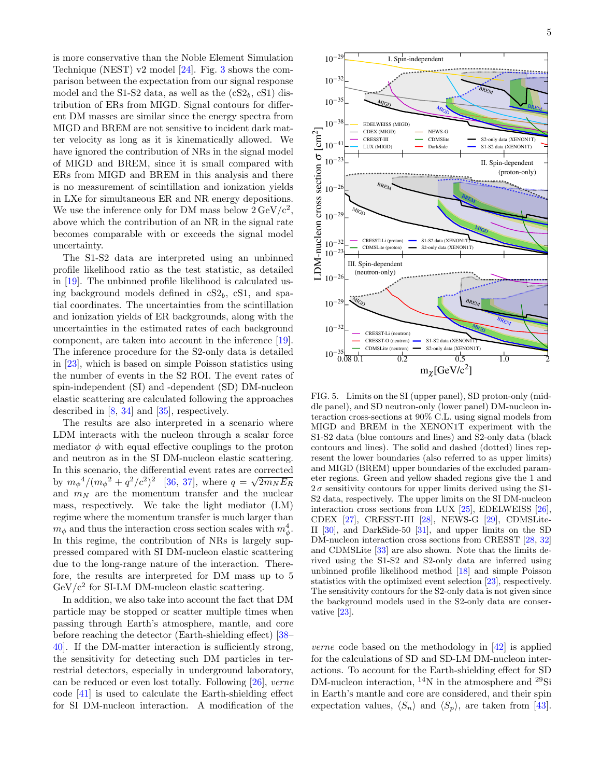is more conservative than the Noble Element Simulation Technique (NEST) v2 model [\[24\]](#page-6-19). Fig. [3](#page-3-0) shows the comparison between the expectation from our signal response model and the S1-S2 data, as well as the  $(cS2_b, cS1)$  distribution of ERs from MIGD. Signal contours for different DM masses are similar since the energy spectra from MIGD and BREM are not sensitive to incident dark matter velocity as long as it is kinematically allowed. We have ignored the contribution of NRs in the signal model of MIGD and BREM, since it is small compared with ERs from MIGD and BREM in this analysis and there is no measurement of scintillation and ionization yields in LXe for simultaneous ER and NR energy depositions. We use the inference only for DM mass below  $2 \,\text{GeV/c}^2$ , above which the contribution of an NR in the signal rate becomes comparable with or exceeds the signal model uncertainty.

The S1-S2 data are interpreted using an unbinned profile likelihood ratio as the test statistic, as detailed in [\[19\]](#page-6-14). The unbinned profile likelihood is calculated using background models defined in  $cS2_b$ ,  $cS1$ , and spatial coordinates. The uncertainties from the scintillation and ionization yields of ER backgrounds, along with the uncertainties in the estimated rates of each background component, are taken into account in the inference [\[19\]](#page-6-14). The inference procedure for the S2-only data is detailed in [\[23\]](#page-6-18), which is based on simple Poisson statistics using the number of events in the S2 ROI. The event rates of spin-independent (SI) and -dependent (SD) DM-nucleon elastic scattering are calculated following the approaches described in [\[8,](#page-6-4) [34\]](#page-6-20) and [\[35\]](#page-6-21), respectively.

The results are also interpreted in a scenario where LDM interacts with the nucleon through a scalar force mediator  $\phi$  with equal effective couplings to the proton and neutron as in the SI DM-nucleon elastic scattering. In this scenario, the differential event rates are corrected by  $m_{\phi}^{4}/(m_{\phi}^{2}+q^{2}/c^{2})^{2}$  [\[36,](#page-6-22) [37\]](#page-6-23), where  $q=\sqrt{2m_{N}E_{R}}$ and  $m_N$  are the momentum transfer and the nuclear mass, respectively. We take the light mediator (LM) regime where the momentum transfer is much larger than  $m_{\phi}$  and thus the interaction cross section scales with  $m_{\phi}^4$ . In this regime, the contribution of NRs is largely suppressed compared with SI DM-nucleon elastic scattering due to the long-range nature of the interaction. Therefore, the results are interpreted for DM mass up to 5  $GeV/c^2$  for SI-LM DM-nucleon elastic scattering.

In addition, we also take into account the fact that DM particle may be stopped or scatter multiple times when passing through Earth's atmosphere, mantle, and core before reaching the detector (Earth-shielding effect) [\[38–](#page-6-24) [40\]](#page-6-25). If the DM-matter interaction is sufficiently strong, the sensitivity for detecting such DM particles in terrestrial detectors, especially in underground laboratory, can be reduced or even lost totally. Following [\[26\]](#page-6-26), verne code [\[41\]](#page-6-27) is used to calculate the Earth-shielding effect for SI DM-nucleon interaction. A modification of the



<span id="page-4-0"></span>FIG. 5. Limits on the SI (upper panel), SD proton-only (middle panel), and SD neutron-only (lower panel) DM-nucleon interaction cross-sections at 90% C.L. using signal models from MIGD and BREM in the XENON1T experiment with the S1-S2 data (blue contours and lines) and S2-only data (black contours and lines). The solid and dashed (dotted) lines represent the lower boundaries (also referred to as upper limits) and MIGD (BREM) upper boundaries of the excluded parameter regions. Green and yellow shaded regions give the 1 and  $2\,\sigma$  sensitivity contours for upper limits derived using the S1-S2 data, respectively. The upper limits on the SI DM-nucleon interaction cross sections from LUX [\[25\]](#page-6-28), EDELWEISS [\[26\]](#page-6-26), CDEX [\[27\]](#page-6-29), CRESST-III [\[28\]](#page-6-30), NEWS-G [\[29\]](#page-6-31), CDMSLite-II [\[30\]](#page-6-32), and DarkSide-50 [\[31\]](#page-6-33), and upper limits on the SD DM-nucleon interaction cross sections from CRESST [\[28,](#page-6-30) [32\]](#page-6-34) and CDMSLite [\[33\]](#page-6-35) are also shown. Note that the limits derived using the S1-S2 and S2-only data are inferred using unbinned profile likelihood method [\[18\]](#page-6-13) and simple Poisson statistics with the optimized event selection [\[23\]](#page-6-18), respectively. The sensitivity contours for the S2-only data is not given since the background models used in the S2-only data are conservative [\[23\]](#page-6-18).

verne code based on the methodology in [\[42\]](#page-6-36) is applied for the calculations of SD and SD-LM DM-nucleon interactions. To account for the Earth-shielding effect for SD DM-nucleon interaction, <sup>14</sup>N in the atmosphere and <sup>29</sup>Si in Earth's mantle and core are considered, and their spin expectation values,  $\langle S_n \rangle$  and  $\langle S_p \rangle$ , are taken from [\[43\]](#page-6-37).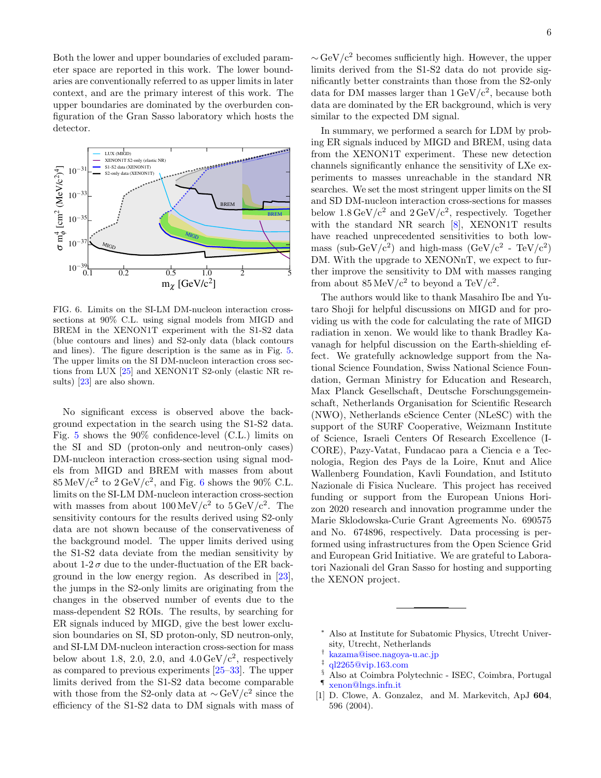Both the lower and upper boundaries of excluded parameter space are reported in this work. The lower boundaries are conventionally referred to as upper limits in later context, and are the primary interest of this work. The upper boundaries are dominated by the overburden configuration of the Gran Sasso laboratory which hosts the detector.



<span id="page-5-6"></span>FIG. 6. Limits on the SI-LM DM-nucleon interaction crosssections at 90% C.L. using signal models from MIGD and BREM in the XENON1T experiment with the S1-S2 data (blue contours and lines) and S2-only data (black contours and lines). The figure description is the same as in Fig. [5.](#page-4-0) The upper limits on the SI DM-nucleon interaction cross sections from LUX [\[25\]](#page-6-28) and XENON1T S2-only (elastic NR results) [\[23\]](#page-6-18) are also shown.

No significant excess is observed above the background expectation in the search using the S1-S2 data. Fig. [5](#page-4-0) shows the 90% confidence-level (C.L.) limits on the SI and SD (proton-only and neutron-only cases) DM-nucleon interaction cross-section using signal models from MIGD and BREM with masses from about  $85 \,\mathrm{MeV/c^2}$  to  $2 \,\mathrm{GeV/c^2}$ , and Fig. [6](#page-5-6) shows the 90% C.L. limits on the SI-LM DM-nucleon interaction cross-section with masses from about  $100 \,\mathrm{MeV}/c^2$  to  $5 \,\mathrm{GeV}/c^2$ . The sensitivity contours for the results derived using S2-only data are not shown because of the conservativeness of the background model. The upper limits derived using the S1-S2 data deviate from the median sensitivity by about  $1-2\sigma$  due to the under-fluctuation of the ER background in the low energy region. As described in [\[23\]](#page-6-18), the jumps in the S2-only limits are originating from the changes in the observed number of events due to the mass-dependent S2 ROIs. The results, by searching for ER signals induced by MIGD, give the best lower exclusion boundaries on SI, SD proton-only, SD neutron-only, and SI-LM DM-nucleon interaction cross-section for mass below about 1.8, 2.0, 2.0, and  $4.0 \,\text{GeV}/c^2$ , respectively as compared to previous experiments [\[25](#page-6-28)[–33\]](#page-6-35). The upper limits derived from the S1-S2 data become comparable with those from the S2-only data at  $\sim$  GeV/c<sup>2</sup> since the efficiency of the S1-S2 data to DM signals with mass of  $\sim$  GeV/c<sup>2</sup> becomes sufficiently high. However, the upper limits derived from the S1-S2 data do not provide significantly better constraints than those from the S2-only data for DM masses larger than  $1 \text{ GeV}/c^2$ , because both data are dominated by the ER background, which is very similar to the expected DM signal.

In summary, we performed a search for LDM by probing ER signals induced by MIGD and BREM, using data from the XENON1T experiment. These new detection channels significantly enhance the sensitivity of LXe experiments to masses unreachable in the standard NR searches. We set the most stringent upper limits on the SI and SD DM-nucleon interaction cross-sections for masses below  $1.8 \,\text{GeV}/c^2$  and  $2 \,\text{GeV}/c^2$ , respectively. Together with the standard NR search [\[8\]](#page-6-4), XENON1T results have reached unprecedented sensitivities to both lowmass (sub-GeV/ $c^2$ ) and high-mass (GeV/ $c^2$  - TeV/ $c^2$ ) DM. With the upgrade to XENONnT, we expect to further improve the sensitivity to DM with masses ranging from about  $85 \,\mathrm{MeV}/c^2$  to beyond a TeV/ $c^2$ .

The authors would like to thank Masahiro Ibe and Yutaro Shoji for helpful discussions on MIGD and for providing us with the code for calculating the rate of MIGD radiation in xenon. We would like to thank Bradley Kavanagh for helpful discussion on the Earth-shielding effect. We gratefully acknowledge support from the National Science Foundation, Swiss National Science Foundation, German Ministry for Education and Research, Max Planck Gesellschaft, Deutsche Forschungsgemeinschaft, Netherlands Organisation for Scientific Research (NWO), Netherlands eScience Center (NLeSC) with the support of the SURF Cooperative, Weizmann Institute of Science, Israeli Centers Of Research Excellence (I-CORE), Pazy-Vatat, Fundacao para a Ciencia e a Tecnologia, Region des Pays de la Loire, Knut and Alice Wallenberg Foundation, Kavli Foundation, and Istituto Nazionale di Fisica Nucleare. This project has received funding or support from the European Unions Horizon 2020 research and innovation programme under the Marie Sklodowska-Curie Grant Agreements No. 690575 and No. 674896, respectively. Data processing is performed using infrastructures from the Open Science Grid and European Grid Initiative. We are grateful to Laboratori Nazionali del Gran Sasso for hosting and supporting the XENON project.

- <span id="page-5-3"></span>§ Also at Coimbra Polytechnic - ISEC, Coimbra, Portugal ¶ [xenon@lngs.infn.it](mailto:xenon@lngs.infn.it)
- <span id="page-5-5"></span><span id="page-5-4"></span>[1] D. Clowe, A. Gonzalez, and M. Markevitch, ApJ 604, 596 (2004).

<span id="page-5-0"></span><sup>∗</sup> Also at Institute for Subatomic Physics, Utrecht University, Utrecht, Netherlands

<span id="page-5-1"></span><sup>†</sup> [kazama@isee.nagoya-u.ac.jp](mailto:kazama@isee.nagoya-u.ac.jp)

<span id="page-5-2"></span><sup>‡</sup> [ql2265@vip.163.com](mailto:ql2265@vip.163.com)